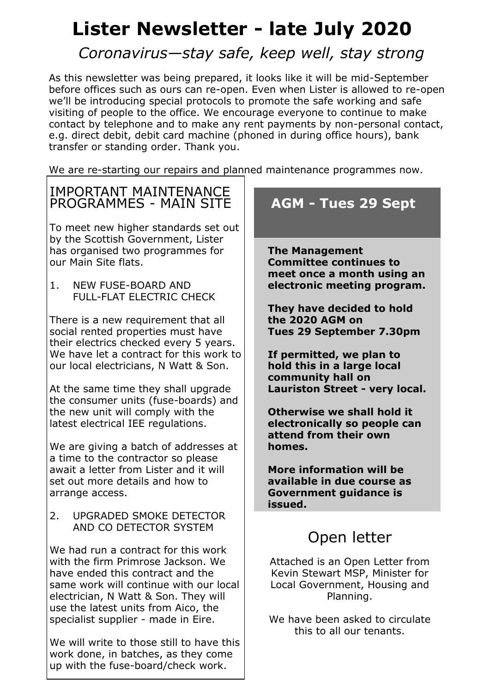# **Lister Newsletter - late July 2020**

## *Coronavirus—stay safe, keep well, stay strong*

As this newsletter was being prepared, it looks like it will be mid-September before offices such as ours can re-open. Even when Lister is allowed to re-open we'll be introducing special protocols to promote the safe working and safe visiting of people to the office. We encourage everyone to continue to make contact by telephone and to make any rent payments by non-personal contact, e.g. direct debit, debit card machine (phoned in during office hours), bank transfer or standing order. Thank you.

We are re-starting our repairs and planned maintenance programmes now.

#### IMPORTANT MAINTENANCE PROGRAMMES - MAIN SITE

To meet new higher standards set out by the Scottish Government, Lister has organised two programmes for our Main Site flats.

1. NEW FUSE-BOARD AND FULL-FLAT ELECTRIC CHECK

There is a new requirement that all social rented properties must have their electrics checked every 5 years. We have let a contract for this work to our local electricians, N Watt & Son.

At the same time they shall upgrade the consumer units (fuse-boards) and the new unit will comply with the latest electrical IEE regulations.

We are giving a batch of addresses at a time to the contractor so please await a letter from Lister and it will set out more details and how to arrange access.

2. UPGRADED SMOKE DETECTOR AND CO DETECTOR SYSTEM

We had run a contract for this work with the firm Primrose Jackson. We have ended this contract and the same work will continue with our local electrician, N Watt & Son. They will use the latest units from Aico, the specialist supplier - made in Eire.

We will write to those still to have this work done, in batches, as they come up with the fuse-board/check work.

## **AGM - Tues 29 Sept**

**The Management Committee continues to meet once a month using an electronic meeting program.**

**They have decided to hold the 2020 AGM on Tues 29 September 7.30pm**

**If permitted, we plan to hold this in a large local community hall on Lauriston Street - very local.**

**Otherwise we shall hold it electronically so people can attend from their own homes.**

**More information will be available in due course as Government guidance is issued.**

## Open letter

Attached is an Open Letter from Kevin Stewart MSP, Minister for Local Government, Housing and Planning.

We have been asked to circulate this to all our tenants.